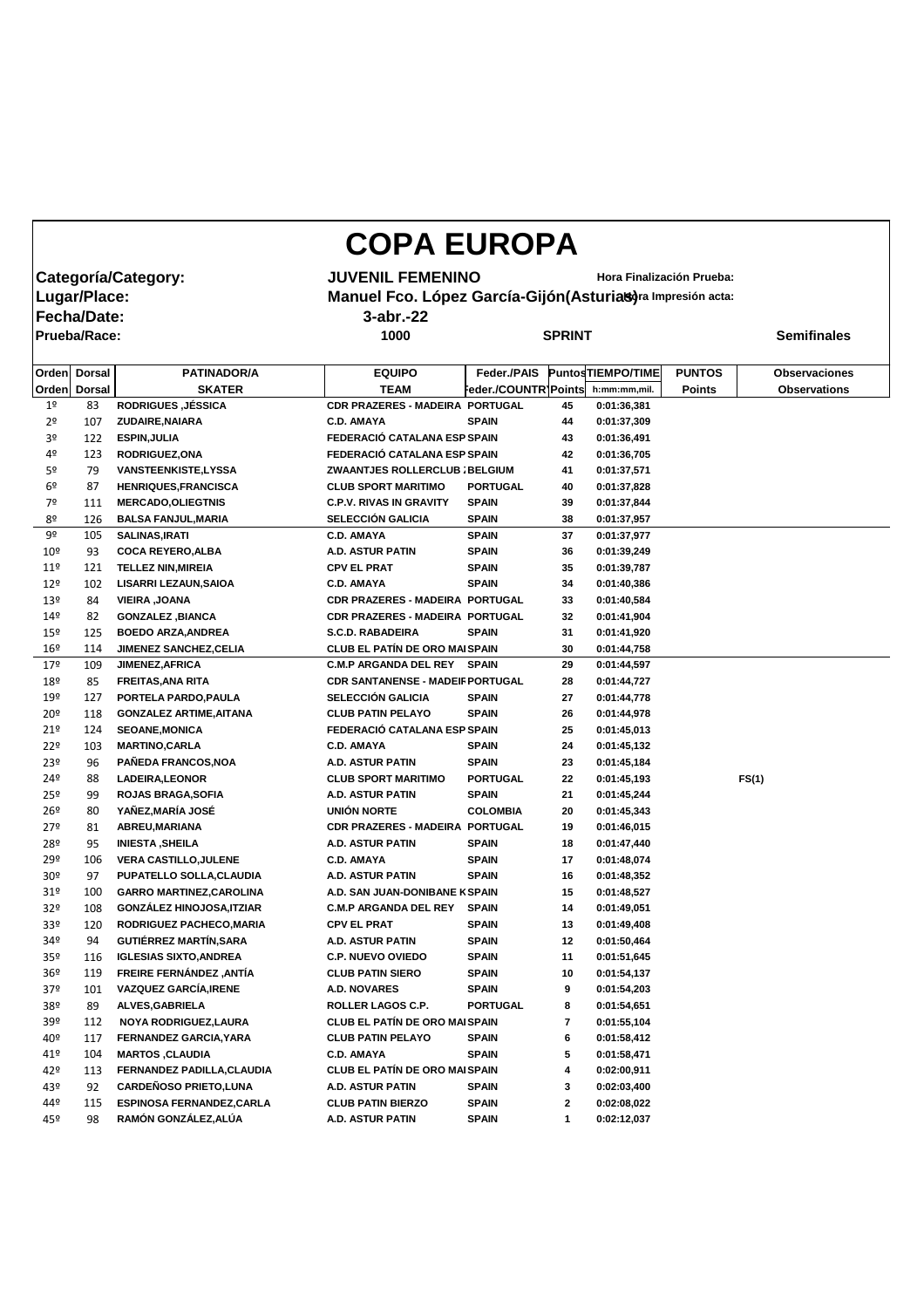## **COPA EUROPA**

**Fecha/Date: 3-abr.-22**

**Prueba/Race: 1000 SPRINT Semifinales**

**Categoría/Category:** JUVENIL FEMENINO<br>|Lugar/Place: Manuel Fco. López García-Gijón(Asturias)<sup>ra Impresión acta:</sup> **Manuel Fco. López García-Gijón(Asturias)** ra Impresión acta:

|                 | Orden Dorsal  | <b>PATINADOR/A</b>               | <b>EQUIPO</b>                           | Feder./PAIS          |              | <b>PuntosTIEMPO/TIME</b> | <b>PUNTOS</b> | <b>Observaciones</b> |
|-----------------|---------------|----------------------------------|-----------------------------------------|----------------------|--------------|--------------------------|---------------|----------------------|
| Orden           | <b>Dorsal</b> | <b>SKATER</b>                    | <b>TEAM</b>                             | Feder./COUNTR1Points |              | h:mm:mm,mil.             | <b>Points</b> | <b>Observations</b>  |
| 1 <sup>o</sup>  | 83            | <b>RODRIGUES, JÉSSICA</b>        | <b>CDR PRAZERES - MADEIRA PORTUGAL</b>  |                      | 45           | 0:01:36,381              |               |                      |
| 2 <sup>o</sup>  | 107           | ZUDAIRE, NAIARA                  | <b>C.D. AMAYA</b>                       | <b>SPAIN</b>         | 44           | 0:01:37,309              |               |                      |
| 3 <sup>o</sup>  | 122           | <b>ESPIN, JULIA</b>              | FEDERACIÓ CATALANA ESP SPAIN            |                      | 43           | 0:01:36,491              |               |                      |
| 4 <sup>o</sup>  | 123           | RODRIGUEZ, ONA                   | FEDERACIÓ CATALANA ESP SPAIN            |                      | 42           | 0:01:36,705              |               |                      |
| 5 <sup>o</sup>  | 79            | <b>VANSTEENKISTE,LYSSA</b>       | ZWAANTJES ROLLERCLUB ; BELGIUM          |                      | 41           | 0:01:37,571              |               |                      |
| 6 <sup>9</sup>  | 87            | <b>HENRIQUES, FRANCISCA</b>      | <b>CLUB SPORT MARITIMO</b>              | <b>PORTUGAL</b>      | 40           | 0:01:37,828              |               |                      |
| 7º              | 111           | <b>MERCADO, OLIEGTNIS</b>        | <b>C.P.V. RIVAS IN GRAVITY</b>          | <b>SPAIN</b>         | 39           | 0:01:37,844              |               |                      |
| 8º              | 126           | <b>BALSA FANJUL, MARIA</b>       | <b>SELECCIÓN GALICIA</b>                | <b>SPAIN</b>         | 38           | 0:01:37,957              |               |                      |
| 9º              | 105           | <b>SALINAS, IRATI</b>            | <b>C.D. AMAYA</b>                       | <b>SPAIN</b>         | 37           | 0:01:37,977              |               |                      |
| 10 <sup>°</sup> | 93            | <b>COCA REYERO, ALBA</b>         | A.D. ASTUR PATIN                        | <b>SPAIN</b>         | 36           | 0:01:39,249              |               |                      |
| $11^{\circ}$    | 121           | <b>TELLEZ NIN, MIREIA</b>        | <b>CPV EL PRAT</b>                      | <b>SPAIN</b>         | 35           | 0:01:39,787              |               |                      |
| $12^{\circ}$    | 102           | <b>LISARRI LEZAUN, SAIOA</b>     | <b>C.D. AMAYA</b>                       | <b>SPAIN</b>         | 34           | 0:01:40,386              |               |                      |
| 13 <sup>°</sup> | 84            | <b>VIEIRA, JOANA</b>             | <b>CDR PRAZERES - MADEIRA PORTUGAL</b>  |                      | 33           | 0:01:40,584              |               |                      |
| $14^{\circ}$    | 82            | <b>GONZALEZ, BIANCA</b>          | <b>CDR PRAZERES - MADEIRA PORTUGAL</b>  |                      | 32           | 0:01:41,904              |               |                      |
| 15º             | 125           | <b>BOEDO ARZA, ANDREA</b>        | <b>S.C.D. RABADEIRA</b>                 | <b>SPAIN</b>         | 31           | 0:01:41,920              |               |                      |
| 16 <sup>°</sup> | 114           | <b>JIMENEZ SANCHEZ, CELIA</b>    | <b>CLUB EL PATÍN DE ORO MAI SPAIN</b>   |                      | 30           | 0:01:44,758              |               |                      |
| 17º             | 109           | <b>JIMENEZ, AFRICA</b>           | <b>C.M.P ARGANDA DEL REY SPAIN</b>      |                      | 29           | 0:01:44,597              |               |                      |
| 18º             | 85            | <b>FREITAS, ANA RITA</b>         | <b>CDR SANTANENSE - MADEIF PORTUGAL</b> |                      | 28           | 0:01:44,727              |               |                      |
| 19º             | 127           | PORTELA PARDO, PAULA             | SELECCIÓN GALICIA                       | <b>SPAIN</b>         | 27           | 0:01:44,778              |               |                      |
| 20 <sup>°</sup> | 118           | <b>GONZALEZ ARTIME, AITANA</b>   | <b>CLUB PATIN PELAYO</b>                | <b>SPAIN</b>         | 26           | 0:01:44,978              |               |                      |
| 21°             | 124           | <b>SEOANE, MONICA</b>            | FEDERACIÓ CATALANA ESP SPAIN            |                      | 25           | 0:01:45,013              |               |                      |
| $22^{\circ}$    | 103           | <b>MARTINO, CARLA</b>            | <b>C.D. AMAYA</b>                       | <b>SPAIN</b>         | 24           | 0:01:45,132              |               |                      |
| 23 <sup>°</sup> | 96            | PAÑEDA FRANCOS, NOA              | A.D. ASTUR PATIN                        | <b>SPAIN</b>         | 23           | 0:01:45,184              |               |                      |
| 24º             | 88            | LADEIRA, LEONOR                  | <b>CLUB SPORT MARITIMO</b>              | <b>PORTUGAL</b>      | 22           | 0:01:45,193              |               | FS(1)                |
| $25^{\circ}$    | 99            | <b>ROJAS BRAGA, SOFIA</b>        | A.D. ASTUR PATIN                        | <b>SPAIN</b>         | 21           | 0:01:45,244              |               |                      |
| $26^{\circ}$    | 80            | YAÑEZ, MARÍA JOSÉ                | <b>UNIÓN NORTE</b>                      | <b>COLOMBIA</b>      | 20           | 0:01:45,343              |               |                      |
| 27 <sup>°</sup> | 81            | ABREU, MARIANA                   | CDR PRAZERES - MADEIRA PORTUGAL         |                      | 19           | 0:01:46,015              |               |                      |
| 28º             | 95            | <b>INIESTA, SHEILA</b>           | A.D. ASTUR PATIN                        | <b>SPAIN</b>         | 18           | 0:01:47,440              |               |                      |
| 29º             | 106           | <b>VERA CASTILLO, JULENE</b>     | <b>C.D. AMAYA</b>                       | <b>SPAIN</b>         | 17           | 0:01:48,074              |               |                      |
| 30 <sup>°</sup> | 97            | PUPATELLO SOLLA, CLAUDIA         | <b>A.D. ASTUR PATIN</b>                 | <b>SPAIN</b>         | 16           | 0:01:48,352              |               |                      |
| 31 <sup>°</sup> | 100           | <b>GARRO MARTINEZ, CAROLINA</b>  | A.D. SAN JUAN-DONIBANE K SPAIN          |                      | 15           | 0:01:48,527              |               |                      |
| 32 <sup>o</sup> | 108           | <b>GONZÁLEZ HINOJOSA, ITZIAR</b> | <b>C.M.P ARGANDA DEL REY</b>            | <b>SPAIN</b>         | 14           | 0:01:49,051              |               |                      |
| 33 <sup>o</sup> | 120           | RODRIGUEZ PACHECO, MARIA         | <b>CPV EL PRAT</b>                      | <b>SPAIN</b>         | 13           | 0:01:49,408              |               |                      |
| 34º             | 94            | <b>GUTIÉRREZ MARTÍN, SARA</b>    | A.D. ASTUR PATIN                        | <b>SPAIN</b>         | 12           | 0:01:50,464              |               |                      |
| 35 <sup>o</sup> | 116           | <b>IGLESIAS SIXTO, ANDREA</b>    | <b>C.P. NUEVO OVIEDO</b>                | <b>SPAIN</b>         | 11           | 0:01:51,645              |               |                      |
| 36º             | 119           | FREIRE FERNÁNDEZ, ANTÍA          | <b>CLUB PATIN SIERO</b>                 | <b>SPAIN</b>         | 10           | 0:01:54,137              |               |                      |
| 37º             | 101           | <b>VAZQUEZ GARCÍA, IRENE</b>     | <b>A.D. NOVARES</b>                     | <b>SPAIN</b>         | 9            | 0:01:54,203              |               |                      |
| 38º             | 89            | <b>ALVES, GABRIELA</b>           | <b>ROLLER LAGOS C.P.</b>                | <b>PORTUGAL</b>      | 8            | 0:01:54,651              |               |                      |
| 39º             | 112           | NOYA RODRIGUEZ, LAURA            | <b>CLUB EL PATÍN DE ORO MAI SPAIN</b>   |                      | 7            | 0:01:55,104              |               |                      |
| 40º             | 117           | FERNANDEZ GARCIA, YARA           | <b>CLUB PATIN PELAYO</b>                | <b>SPAIN</b>         | 6            | 0:01:58,412              |               |                      |
| 41°             | 104           | <b>MARTOS, CLAUDIA</b>           | <b>C.D. AMAYA</b>                       | <b>SPAIN</b>         | 5            | 0:01:58,471              |               |                      |
| 42º             | 113           | FERNANDEZ PADILLA, CLAUDIA       | <b>CLUB EL PATÍN DE ORO MAI SPAIN</b>   |                      | 4            | 0:02:00,911              |               |                      |
| 43º             | 92            | <b>CARDEÑOSO PRIETO, LUNA</b>    | A.D. ASTUR PATIN                        | <b>SPAIN</b>         | 3            | 0:02:03,400              |               |                      |
| 44º             | 115           | <b>ESPINOSA FERNANDEZ, CARLA</b> | <b>CLUB PATIN BIERZO</b>                | <b>SPAIN</b>         | $\mathbf{2}$ | 0:02:08,022              |               |                      |
| 45º             | 98            | RAMÓN GONZÁLEZ, ALÚA             | A.D. ASTUR PATIN                        | <b>SPAIN</b>         | $\mathbf 1$  | 0:02:12,037              |               |                      |